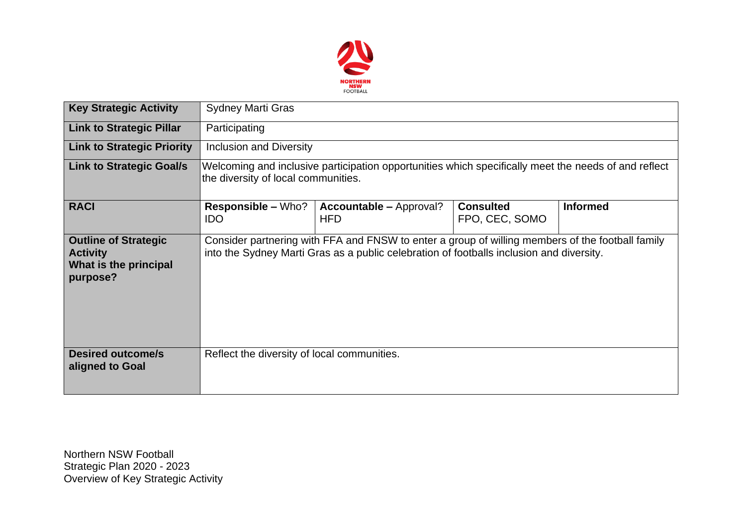

| <b>Key Strategic Activity</b>                                                       | <b>Sydney Marti Gras</b>                                                                                                                                                                     |                                              |                                    |                 |  |  |  |  |
|-------------------------------------------------------------------------------------|----------------------------------------------------------------------------------------------------------------------------------------------------------------------------------------------|----------------------------------------------|------------------------------------|-----------------|--|--|--|--|
| <b>Link to Strategic Pillar</b>                                                     | Participating                                                                                                                                                                                |                                              |                                    |                 |  |  |  |  |
| <b>Link to Strategic Priority</b>                                                   | <b>Inclusion and Diversity</b>                                                                                                                                                               |                                              |                                    |                 |  |  |  |  |
| <b>Link to Strategic Goal/s</b>                                                     | Welcoming and inclusive participation opportunities which specifically meet the needs of and reflect<br>the diversity of local communities.                                                  |                                              |                                    |                 |  |  |  |  |
| <b>RACI</b>                                                                         | <b>Responsible – Who?</b><br><b>IDO</b>                                                                                                                                                      | <b>Accountable – Approval?</b><br><b>HFD</b> | <b>Consulted</b><br>FPO, CEC, SOMO | <b>Informed</b> |  |  |  |  |
| <b>Outline of Strategic</b><br><b>Activity</b><br>What is the principal<br>purpose? | Consider partnering with FFA and FNSW to enter a group of willing members of the football family<br>into the Sydney Marti Gras as a public celebration of footballs inclusion and diversity. |                                              |                                    |                 |  |  |  |  |
| <b>Desired outcome/s</b><br>aligned to Goal                                         | Reflect the diversity of local communities.                                                                                                                                                  |                                              |                                    |                 |  |  |  |  |

Northern NSW Football Strategic Plan 2020 - 2023 Overview of Key Strategic Activity